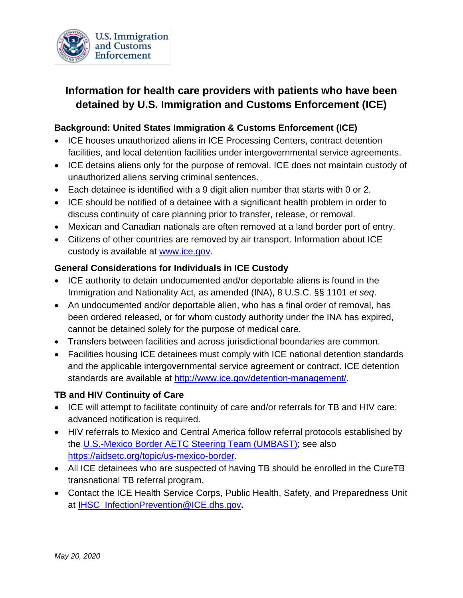

# **Information for health care providers with patients who have been detained by U.S. Immigration and Customs Enforcement (ICE)**

### **Background: United States Immigration & Customs Enforcement (ICE)**

- ICE houses unauthorized aliens in ICE Processing Centers, contract detention facilities, and local detention facilities under intergovernmental service agreements.
- ICE detains aliens only for the purpose of removal. ICE does not maintain custody of unauthorized aliens serving criminal sentences.
- Each detainee is identified with a 9 digit alien number that starts with 0 or 2.
- ICE should be notified of a detainee with a significant health problem in order to discuss continuity of care planning prior to transfer, release, or removal.
- Mexican and Canadian nationals are often removed at a land border port of entry.
- Citizens of other countries are removed by air transport. Information about ICE custody is available at [www.ice.gov.](http://www.ice.gov/)

#### **General Considerations for Individuals in ICE Custody**

- ICE authority to detain undocumented and/or deportable aliens is found in the Immigration and Nationality Act, as amended (INA), 8 U.S.C. §§ 1101 *et seq*.
- An undocumented and/or deportable alien, who has a final order of removal, has been ordered released, or for whom custody authority under the INA has expired, cannot be detained solely for the purpose of medical care.
- Transfers between facilities and across jurisdictional boundaries are common.
- Facilities housing ICE detainees must comply with ICE national detention standards and the applicable intergovernmental service agreement or contract. ICE detention standards are available at [http://www.ice.gov/detention-management/.](http://www.ice.gov/detention-management/)

#### **TB and HIV Continuity of Care**

- ICE will attempt to facilitate continuity of care and/or referrals for TB and HIV care; advanced notification is required.
- HIV referrals to Mexico and Central America follow referral protocols established by the [U.S.-Mexico Border AETC Steering Team \(UMBAST\);](https://aidsetc.org/topic/us-mexico-border) see also [https://aidsetc.org/topic/us-mexico-border.](https://aidsetc.org/topic/us-mexico-border)
- All ICE detainees who are suspected of having TB should be enrolled in the CureTB transnational TB referral program.
- Contact the ICE Health Service Corps, Public Health, Safety, and Preparedness Unit at [IHSC\\_InfectionPrevention@ICE.dhs.gov](mailto:IHSC_InfectionPrevention@ICE.dhs.gov)**.**